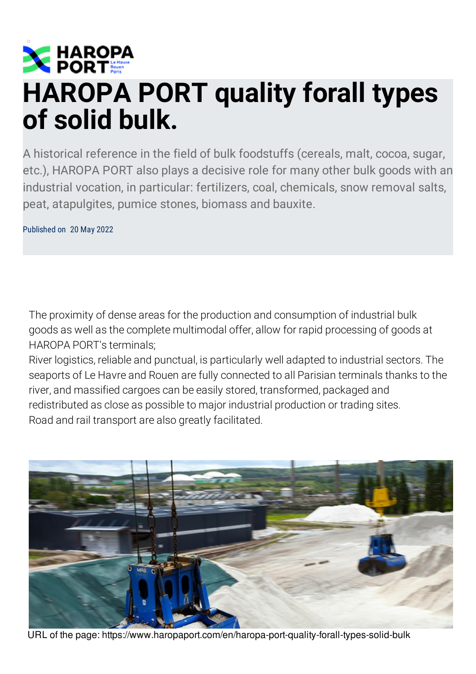

## **HAROPA PORT quality forall types of solid bulk.**

A historical reference in the field of bulk foodstuffs (cereals, malt, cocoa, sugar, etc.), HAROPA PORT also plays a decisive role for many other bulk goods with an industrial vocation, in particular: fertilizers, coal, chemicals, snow removal salts, peat, atapulgites, pumice stones, biomass and bauxite.

Published on 20 May 2022

The proximity of dense areas for the production and consumption of industrial bulk goods as well as the complete multimodal offer, allow for rapid processing of goods at HAROPA PORT's terminals;

River logistics, reliable and punctual, is particularly well adapted to industrial sectors. The seaports of Le Havre and Rouen are fully connected to all Parisian terminals thanks to the river, and massified cargoes can be easily stored, transformed, packaged and redistributed as close as possible to major industrial production or trading sites. Road and rail transport are also greatly facilitated.



URL of the page: https://www.haropaport.com/en/haropa-port-quality-forall-types-solid-bulk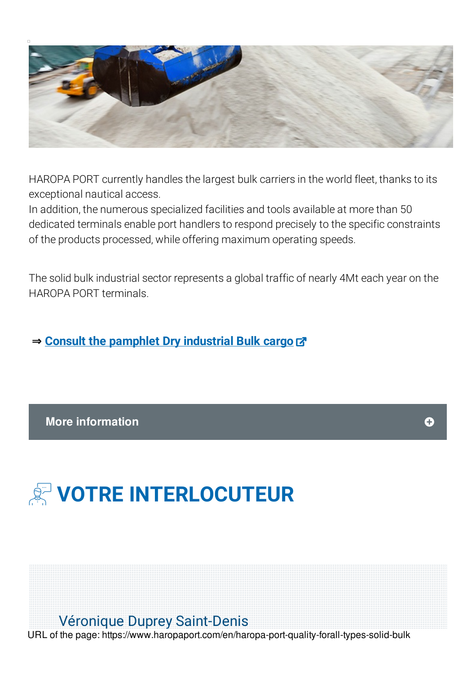

HAROPA PORT currently handles the largest bulk carriers in the world fleet, thanks to its exceptional nautical access.

In addition, the numerous specialized facilities and tools available at more than 50 dedicated terminals enable port handlers to respond precisely to the specific constraints of the products processed, while offering maximum operating speeds.

The solid bulk industrial sector represents a global traffic of nearly 4Mt each year on the HAROPA PORT terminals.

**⇒ Consult the [pamphlet](https://fr.calameo.com/read/001344165b7c633062016) Dry industrial Bulk cargo**

## **More information**



## **VOTRE INTERLOCUTEUR**

## Véronique Duprey Saint-Denis

URL of the page: https://www.haropaport.com/en/haropa-port-quality-forall-types-solid-bulk